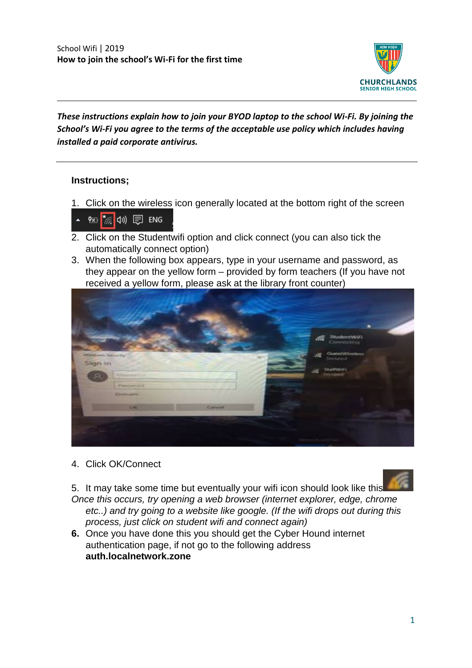

## *These instructions explain how to join your BYOD laptop to the school Wi-Fi. By joining the School's Wi-Fi you agree to the terms of the acceptable use policy which includes having installed a paid corporate antivirus.*

## **Instructions;**

1. Click on the wireless icon generally located at the bottom right of the screen



- 2. Click on the Studentwifi option and click connect (you can also tick the automatically connect option)
- 3. When the following box appears, type in your username and password, as they appear on the yellow form – provided by form teachers (If you have not received a yellow form, please ask at the library front counter)



4. Click OK/Connect

5. It may take some time but eventually your wifi icon should look like this

*Once this occurs, try opening a web browser (internet explorer, edge, chrome etc..) and try going to a website like google. (If the wifi drops out during this process, just click on student wifi and connect again)*

**6.** Once you have done this you should get the Cyber Hound internet authentication page, if not go to the following address **auth.localnetwork.zone**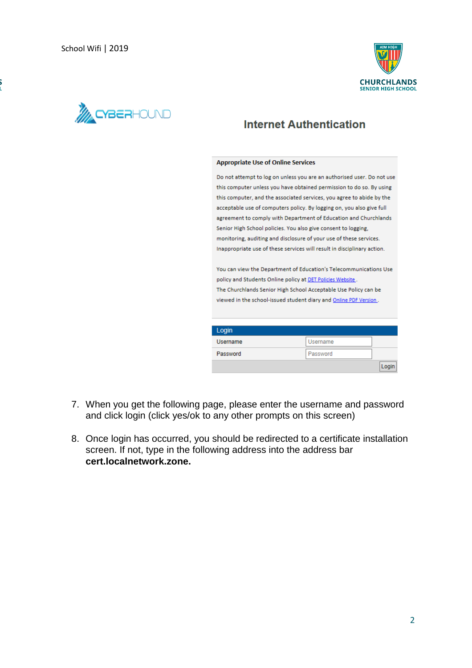



## **Internet Authentication**

## **Appropriate Use of Online Services**

Do not attempt to log on unless you are an authorised user. Do not use this computer unless you have obtained permission to do so. By using this computer, and the associated services, you agree to abide by the acceptable use of computers policy. By logging on, you also give full agreement to comply with Department of Education and Churchlands Senior High School policies. You also give consent to logging, monitoring, auditing and disclosure of your use of these services. Inappropriate use of these services will result in disciplinary action.

You can view the Department of Education's Telecommunications Use policy and Students Online policy at DET Policies Website. The Churchlands Senior High School Acceptable Use Policy can be viewed in the school-issued student diary and Online PDF Version.

| Login           |          |     |
|-----------------|----------|-----|
| <b>Username</b> | Username |     |
| Password        | Password |     |
|                 |          | Loa |

- 7. When you get the following page, please enter the username and password and click login (click yes/ok to any other prompts on this screen)
- 8. Once login has occurred, you should be redirected to a certificate installation screen. If not, type in the following address into the address bar **cert.localnetwork.zone.**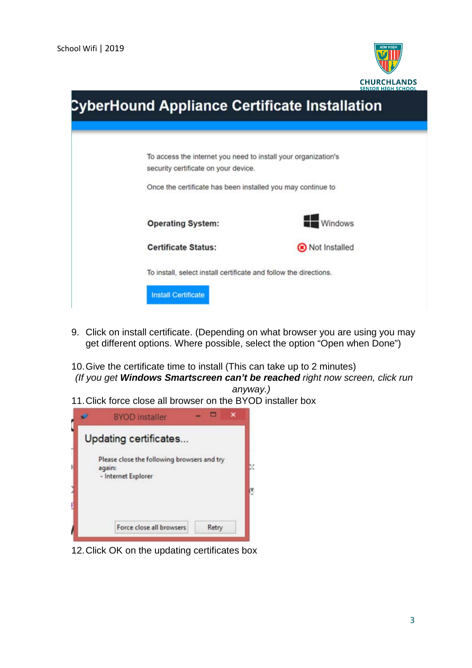

| <b>CyberHound Appliance Certificate Installation</b> |                                                                                                        |                |  |
|------------------------------------------------------|--------------------------------------------------------------------------------------------------------|----------------|--|
|                                                      | To access the internet you need to install your organization's<br>security certificate on your device. |                |  |
|                                                      | Once the certificate has been installed you may continue to                                            |                |  |
|                                                      | <b>Operating System:</b>                                                                               | <b>Windows</b> |  |
|                                                      | <b>Certificate Status:</b>                                                                             | Not Installed  |  |
|                                                      | To install, select install certificate and follow the directions.                                      |                |  |
|                                                      | <b>Install Certificate</b>                                                                             |                |  |

- 9. Click on install certificate. (Depending on what browser you are using you may get different options. Where possible, select the option "Open when Done")
- 10.Give the certificate time to install (This can take up to 2 minutes) *(If you get Windows Smartscreen can't be reached right now screen, click run*

*anyway.)*

11.Click force close all browser on the BYOD installer box



12.Click OK on the updating certificates box